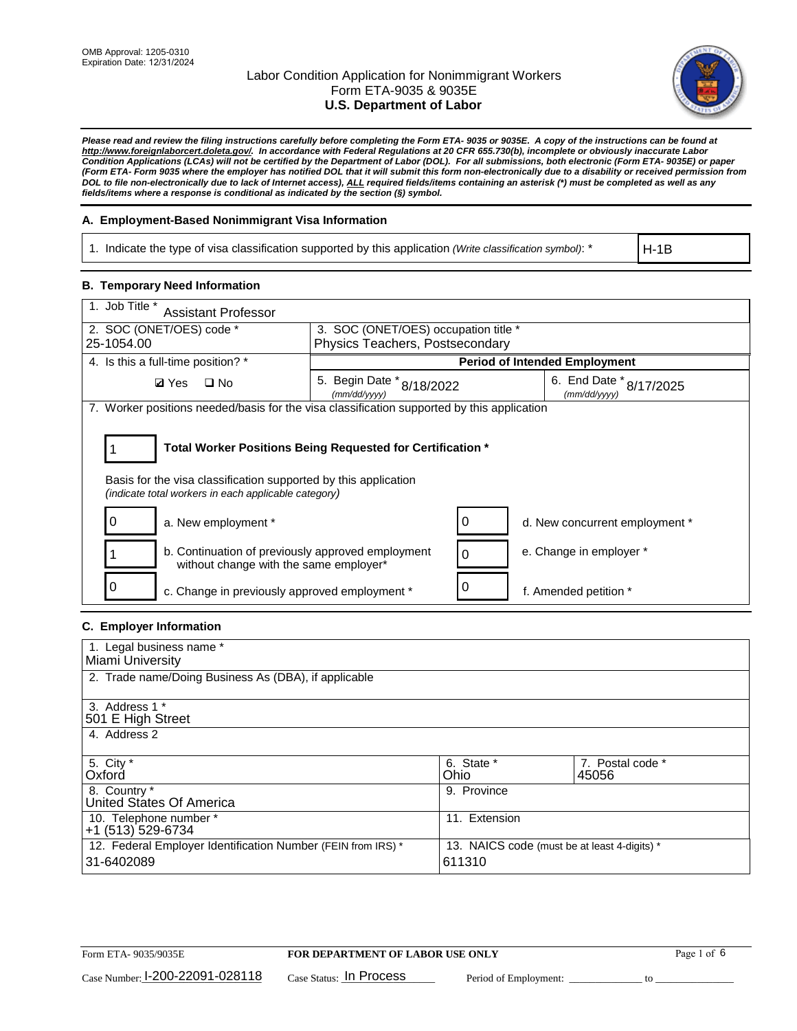

*Please read and review the filing instructions carefully before completing the Form ETA- 9035 or 9035E. A copy of the instructions can be found at [http://www.foreignlaborcert.doleta.gov/.](http://www.foreignlaborcert.doleta.gov/) In accordance with Federal Regulations at 20 CFR 655.730(b), incomplete or obviously inaccurate Labor Condition Applications (LCAs) will not be certified by the Department of Labor (DOL). For all submissions, both electronic (Form ETA- 9035E) or paper (Form ETA- Form 9035 where the employer has notified DOL that it will submit this form non-electronically due to a disability or received permission from DOL to file non-electronically due to lack of Internet access), ALL required fields/items containing an asterisk (\*) must be completed as well as any fields/items where a response is conditional as indicated by the section (§) symbol.* 

### **A. Employment-Based Nonimmigrant Visa Information**

1. Indicate the type of visa classification supported by this application *(Write classification symbol)*: \*

H-1B

### **B. Temporary Need Information**

| 1. Job Title *<br><b>Assistant Professor</b>                                                                            |                                           |          |                                         |
|-------------------------------------------------------------------------------------------------------------------------|-------------------------------------------|----------|-----------------------------------------|
| 2. SOC (ONET/OES) code *                                                                                                | 3. SOC (ONET/OES) occupation title *      |          |                                         |
| 25-1054.00                                                                                                              | Physics Teachers, Postsecondary           |          |                                         |
| 4. Is this a full-time position? *                                                                                      |                                           |          | <b>Period of Intended Employment</b>    |
| $\square$ No<br><b>Ø</b> Yes                                                                                            | 5. Begin Date * 8/18/2022<br>(mm/dd/yyyy) |          | 6. End Date * 8/17/2025<br>(mm/dd/yyyy) |
| 7. Worker positions needed/basis for the visa classification supported by this application                              |                                           |          |                                         |
|                                                                                                                         |                                           |          |                                         |
| Total Worker Positions Being Requested for Certification *                                                              |                                           |          |                                         |
| Basis for the visa classification supported by this application<br>(indicate total workers in each applicable category) |                                           |          |                                         |
| a. New employment *                                                                                                     |                                           | 0        | d. New concurrent employment *          |
| b. Continuation of previously approved employment<br>without change with the same employer*                             |                                           | $\Omega$ | e. Change in employer *                 |
| c. Change in previously approved employment *                                                                           |                                           |          | f. Amended petition *                   |

## **C. Employer Information**

| 1. Legal business name *                                     |                                              |                  |
|--------------------------------------------------------------|----------------------------------------------|------------------|
| Miami University                                             |                                              |                  |
| 2. Trade name/Doing Business As (DBA), if applicable         |                                              |                  |
|                                                              |                                              |                  |
| 3. Address 1 *                                               |                                              |                  |
| 501 E High Street                                            |                                              |                  |
| 4. Address 2                                                 |                                              |                  |
|                                                              |                                              |                  |
| 5. City *                                                    | 6. State *                                   | 7. Postal code * |
| Oxford                                                       | Ohio                                         | 45056            |
| 8. Country *                                                 | 9. Province                                  |                  |
| United States Of America                                     |                                              |                  |
| 10. Telephone number *                                       | 11. Extension                                |                  |
| +1 (513) 529-6734                                            |                                              |                  |
| 12. Federal Employer Identification Number (FEIN from IRS) * | 13. NAICS code (must be at least 4-digits) * |                  |
| 31-6402089                                                   | 611310                                       |                  |
|                                                              |                                              |                  |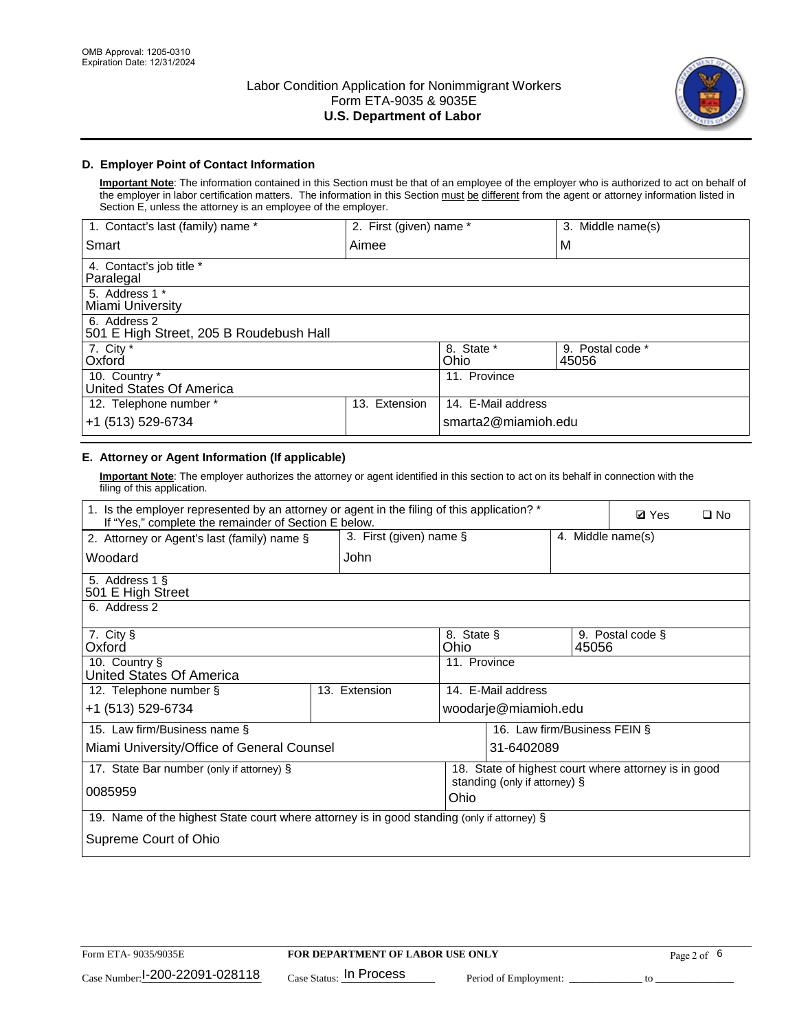

### **D. Employer Point of Contact Information**

**Important Note**: The information contained in this Section must be that of an employee of the employer who is authorized to act on behalf of the employer in labor certification matters. The information in this Section must be different from the agent or attorney information listed in Section E, unless the attorney is an employee of the employer.

| 1. Contact's last (family) name *                       | 2. First (given) name * |                     | 3. Middle name(s)         |
|---------------------------------------------------------|-------------------------|---------------------|---------------------------|
| Smart                                                   | Aimee                   |                     | M                         |
| 4. Contact's job title *<br>Paralegal                   |                         |                     |                           |
| 5. Address 1 *<br>Miami University                      |                         |                     |                           |
| 6. Address 2<br>501 E High Street, 205 B Roudebush Hall |                         |                     |                           |
| 7. City *<br>Oxford                                     |                         | 8. State *<br>Ohio  | 9. Postal code *<br>45056 |
| 10. Country *<br>United States Of America               |                         | 11. Province        |                           |
| 12. Telephone number *                                  | Extension<br>13.        | 14. E-Mail address  |                           |
| +1 (513) 529-6734                                       |                         | smarta2@miamioh.edu |                           |

## **E. Attorney or Agent Information (If applicable)**

**Important Note**: The employer authorizes the attorney or agent identified in this section to act on its behalf in connection with the filing of this application.

| 1. Is the employer represented by an attorney or agent in the filing of this application? *<br>If "Yes," complete the remainder of Section E below. |                         |                    |                                                      |       | <b>Ø</b> Yes      | $\Box$ No |
|-----------------------------------------------------------------------------------------------------------------------------------------------------|-------------------------|--------------------|------------------------------------------------------|-------|-------------------|-----------|
| 2. Attorney or Agent's last (family) name §                                                                                                         | 3. First (given) name § |                    |                                                      |       | 4. Middle name(s) |           |
| Woodard                                                                                                                                             | John                    |                    |                                                      |       |                   |           |
| 5. Address 1 §<br>501 E High Street                                                                                                                 |                         |                    |                                                      |       |                   |           |
| 6. Address 2                                                                                                                                        |                         |                    |                                                      |       |                   |           |
| 7. City §<br>Oxford                                                                                                                                 |                         | 8. State §<br>Ohio |                                                      | 45056 | 9. Postal code §  |           |
| 10. Country §<br>United States Of America                                                                                                           |                         | 11. Province       |                                                      |       |                   |           |
| 12. Telephone number §                                                                                                                              | 13. Extension           |                    | 14. E-Mail address                                   |       |                   |           |
| +1 (513) 529-6734                                                                                                                                   |                         |                    | woodarje@miamioh.edu                                 |       |                   |           |
| 15. Law firm/Business name §                                                                                                                        |                         |                    | 16. Law firm/Business FEIN §                         |       |                   |           |
| Miami University/Office of General Counsel                                                                                                          |                         |                    | 31-6402089                                           |       |                   |           |
| 17. State Bar number (only if attorney) §                                                                                                           |                         |                    | 18. State of highest court where attorney is in good |       |                   |           |
| 0085959                                                                                                                                             |                         | Ohio               | standing (only if attorney) §                        |       |                   |           |
| 19. Name of the highest State court where attorney is in good standing (only if attorney) §                                                         |                         |                    |                                                      |       |                   |           |
| Supreme Court of Ohio                                                                                                                               |                         |                    |                                                      |       |                   |           |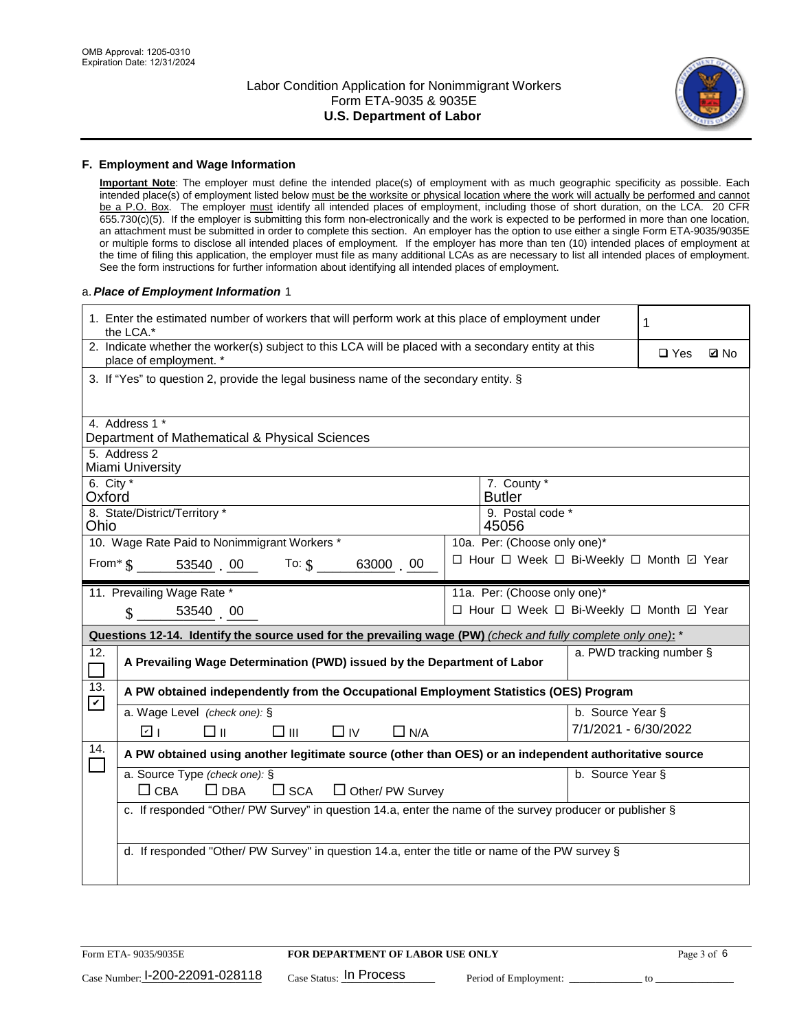

#### **F. Employment and Wage Information**

**Important Note**: The employer must define the intended place(s) of employment with as much geographic specificity as possible. Each intended place(s) of employment listed below must be the worksite or physical location where the work will actually be performed and cannot be a P.O. Box. The employer must identify all intended places of employment, including those of short duration, on the LCA. 20 CFR 655.730(c)(5). If the employer is submitting this form non-electronically and the work is expected to be performed in more than one location, an attachment must be submitted in order to complete this section. An employer has the option to use either a single Form ETA-9035/9035E or multiple forms to disclose all intended places of employment. If the employer has more than ten (10) intended places of employment at the time of filing this application, the employer must file as many additional LCAs as are necessary to list all intended places of employment. See the form instructions for further information about identifying all intended places of employment.

### a.*Place of Employment Information* 1

| 1. Enter the estimated number of workers that will perform work at this place of employment under<br>the LCA.* |                                                                                                                                |  |                                          |                      | 1          |             |
|----------------------------------------------------------------------------------------------------------------|--------------------------------------------------------------------------------------------------------------------------------|--|------------------------------------------|----------------------|------------|-------------|
|                                                                                                                | 2. Indicate whether the worker(s) subject to this LCA will be placed with a secondary entity at this<br>place of employment. * |  |                                          |                      | $\Box$ Yes | <b>Ø</b> No |
|                                                                                                                | 3. If "Yes" to question 2, provide the legal business name of the secondary entity. §                                          |  |                                          |                      |            |             |
|                                                                                                                | 4. Address 1 *                                                                                                                 |  |                                          |                      |            |             |
|                                                                                                                | Department of Mathematical & Physical Sciences                                                                                 |  |                                          |                      |            |             |
|                                                                                                                | 5. Address 2<br>Miami University                                                                                               |  |                                          |                      |            |             |
| 6. City *<br>Oxford                                                                                            |                                                                                                                                |  | 7. County *<br><b>Butler</b>             |                      |            |             |
| Ohio                                                                                                           | 8. State/District/Territory *                                                                                                  |  | 9. Postal code *<br>45056                |                      |            |             |
|                                                                                                                | 10. Wage Rate Paid to Nonimmigrant Workers *                                                                                   |  | 10a. Per: (Choose only one)*             |                      |            |             |
|                                                                                                                | From $\frac{1}{3}$ 53540 00 To: $\frac{1}{3}$<br>63000 00                                                                      |  | □ Hour □ Week □ Bi-Weekly □ Month ☑ Year |                      |            |             |
|                                                                                                                | 11. Prevailing Wage Rate *                                                                                                     |  | 11a. Per: (Choose only one)*             |                      |            |             |
|                                                                                                                | $\sin 53540$ 00                                                                                                                |  | □ Hour □ Week □ Bi-Weekly □ Month ☑ Year |                      |            |             |
|                                                                                                                | Questions 12-14. Identify the source used for the prevailing wage (PW) (check and fully complete only one): *                  |  |                                          |                      |            |             |
| 12.<br>$\Box$                                                                                                  | a. PWD tracking number §<br>A Prevailing Wage Determination (PWD) issued by the Department of Labor                            |  |                                          |                      |            |             |
| 13.<br>$\mathbf v$                                                                                             | A PW obtained independently from the Occupational Employment Statistics (OES) Program                                          |  |                                          |                      |            |             |
|                                                                                                                | a. Wage Level (check one): §                                                                                                   |  |                                          | b. Source Year §     |            |             |
|                                                                                                                | ☑ ⊦<br>□⊪<br>$\square$ $\square$<br>$\Box$ IV<br>$\Box$ N/A                                                                    |  |                                          | 7/1/2021 - 6/30/2022 |            |             |
| 14.                                                                                                            | A PW obtained using another legitimate source (other than OES) or an independent authoritative source                          |  |                                          |                      |            |             |
|                                                                                                                | a. Source Type (check one): §                                                                                                  |  |                                          | b. Source Year §     |            |             |
|                                                                                                                | $\Box$ CBA<br>$\Box$ DBA<br>$\square$ SCA<br>$\Box$ Other/ PW Survey                                                           |  |                                          |                      |            |             |
|                                                                                                                | c. If responded "Other/ PW Survey" in question 14.a, enter the name of the survey producer or publisher §                      |  |                                          |                      |            |             |
|                                                                                                                |                                                                                                                                |  |                                          |                      |            |             |
|                                                                                                                | d. If responded "Other/ PW Survey" in question 14.a, enter the title or name of the PW survey §                                |  |                                          |                      |            |             |
|                                                                                                                |                                                                                                                                |  |                                          |                      |            |             |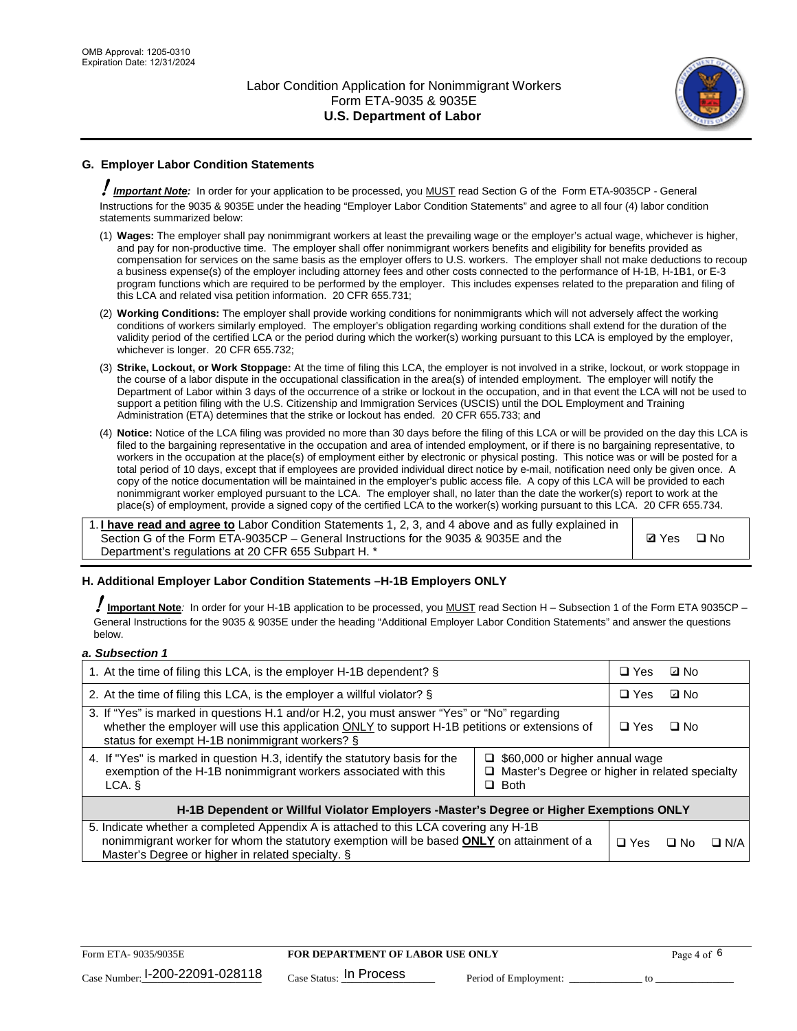

## **G. Employer Labor Condition Statements**

! *Important Note:* In order for your application to be processed, you MUST read Section G of the Form ETA-9035CP - General Instructions for the 9035 & 9035E under the heading "Employer Labor Condition Statements" and agree to all four (4) labor condition statements summarized below:

- (1) **Wages:** The employer shall pay nonimmigrant workers at least the prevailing wage or the employer's actual wage, whichever is higher, and pay for non-productive time. The employer shall offer nonimmigrant workers benefits and eligibility for benefits provided as compensation for services on the same basis as the employer offers to U.S. workers. The employer shall not make deductions to recoup a business expense(s) of the employer including attorney fees and other costs connected to the performance of H-1B, H-1B1, or E-3 program functions which are required to be performed by the employer. This includes expenses related to the preparation and filing of this LCA and related visa petition information. 20 CFR 655.731;
- (2) **Working Conditions:** The employer shall provide working conditions for nonimmigrants which will not adversely affect the working conditions of workers similarly employed. The employer's obligation regarding working conditions shall extend for the duration of the validity period of the certified LCA or the period during which the worker(s) working pursuant to this LCA is employed by the employer, whichever is longer. 20 CFR 655.732;
- (3) **Strike, Lockout, or Work Stoppage:** At the time of filing this LCA, the employer is not involved in a strike, lockout, or work stoppage in the course of a labor dispute in the occupational classification in the area(s) of intended employment. The employer will notify the Department of Labor within 3 days of the occurrence of a strike or lockout in the occupation, and in that event the LCA will not be used to support a petition filing with the U.S. Citizenship and Immigration Services (USCIS) until the DOL Employment and Training Administration (ETA) determines that the strike or lockout has ended. 20 CFR 655.733; and
- (4) **Notice:** Notice of the LCA filing was provided no more than 30 days before the filing of this LCA or will be provided on the day this LCA is filed to the bargaining representative in the occupation and area of intended employment, or if there is no bargaining representative, to workers in the occupation at the place(s) of employment either by electronic or physical posting. This notice was or will be posted for a total period of 10 days, except that if employees are provided individual direct notice by e-mail, notification need only be given once. A copy of the notice documentation will be maintained in the employer's public access file. A copy of this LCA will be provided to each nonimmigrant worker employed pursuant to the LCA. The employer shall, no later than the date the worker(s) report to work at the place(s) of employment, provide a signed copy of the certified LCA to the worker(s) working pursuant to this LCA. 20 CFR 655.734.

1. **I have read and agree to** Labor Condition Statements 1, 2, 3, and 4 above and as fully explained in Section G of the Form ETA-9035CP – General Instructions for the 9035 & 9035E and the Department's regulations at 20 CFR 655 Subpart H. \*

**Ø**Yes ロNo

### **H. Additional Employer Labor Condition Statements –H-1B Employers ONLY**

!**Important Note***:* In order for your H-1B application to be processed, you MUST read Section H – Subsection 1 of the Form ETA 9035CP – General Instructions for the 9035 & 9035E under the heading "Additional Employer Labor Condition Statements" and answer the questions below.

#### *a. Subsection 1*

| 1. At the time of filing this LCA, is the employer H-1B dependent? §                                                                                                                                                                                               |  | $\Box$ Yes | ⊡ No |            |
|--------------------------------------------------------------------------------------------------------------------------------------------------------------------------------------------------------------------------------------------------------------------|--|------------|------|------------|
| 2. At the time of filing this LCA, is the employer a willful violator? $\S$                                                                                                                                                                                        |  | $\Box$ Yes | ⊡ No |            |
| 3. If "Yes" is marked in questions H.1 and/or H.2, you must answer "Yes" or "No" regarding<br>whether the employer will use this application ONLY to support H-1B petitions or extensions of<br>status for exempt H-1B nonimmigrant workers? §                     |  | $\Box$ Yes | ∩ No |            |
| 4. If "Yes" is marked in question H.3, identify the statutory basis for the<br>$\Box$ \$60,000 or higher annual wage<br>exemption of the H-1B nonimmigrant workers associated with this<br>□ Master's Degree or higher in related specialty<br>$\Box$ Both<br>LCA. |  |            |      |            |
| H-1B Dependent or Willful Violator Employers -Master's Degree or Higher Exemptions ONLY                                                                                                                                                                            |  |            |      |            |
| 5. Indicate whether a completed Appendix A is attached to this LCA covering any H-1B<br>nonimmigrant worker for whom the statutory exemption will be based <b>ONLY</b> on attainment of a<br>Master's Degree or higher in related specialty. §                     |  | $\Box$ Yes | ⊡ No | $\Box$ N/A |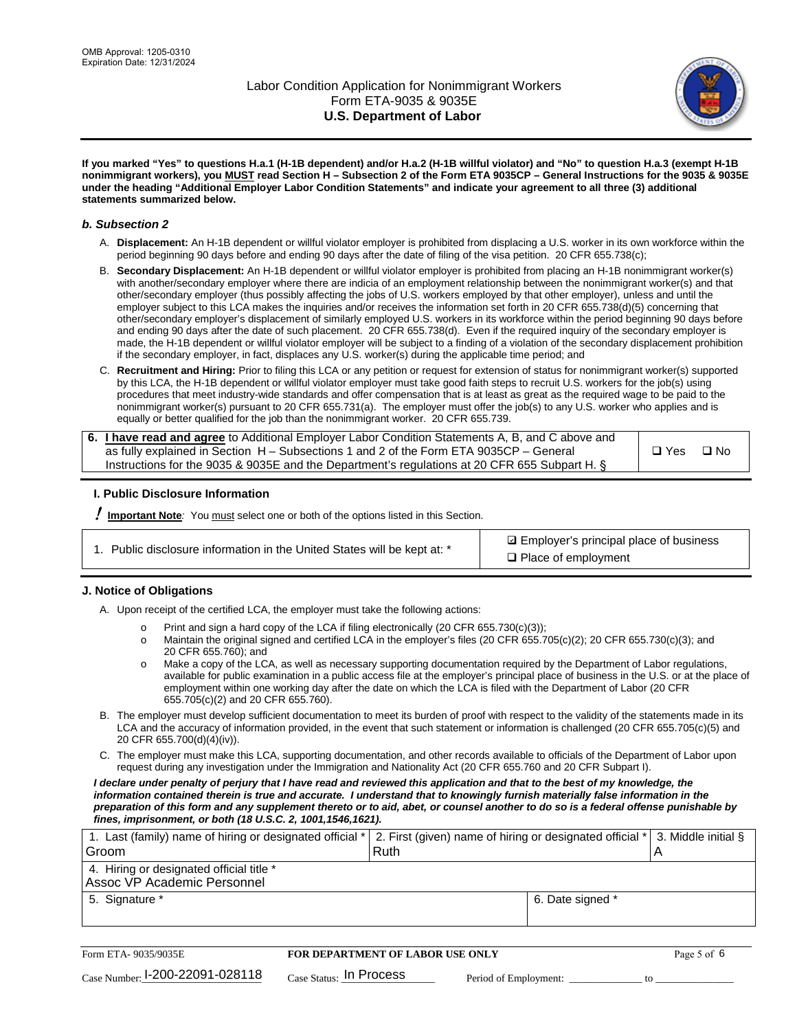

**If you marked "Yes" to questions H.a.1 (H-1B dependent) and/or H.a.2 (H-1B willful violator) and "No" to question H.a.3 (exempt H-1B nonimmigrant workers), you MUST read Section H – Subsection 2 of the Form ETA 9035CP – General Instructions for the 9035 & 9035E under the heading "Additional Employer Labor Condition Statements" and indicate your agreement to all three (3) additional statements summarized below.**

#### *b. Subsection 2*

- A. **Displacement:** An H-1B dependent or willful violator employer is prohibited from displacing a U.S. worker in its own workforce within the period beginning 90 days before and ending 90 days after the date of filing of the visa petition. 20 CFR 655.738(c);
- B. **Secondary Displacement:** An H-1B dependent or willful violator employer is prohibited from placing an H-1B nonimmigrant worker(s) with another/secondary employer where there are indicia of an employment relationship between the nonimmigrant worker(s) and that other/secondary employer (thus possibly affecting the jobs of U.S. workers employed by that other employer), unless and until the employer subject to this LCA makes the inquiries and/or receives the information set forth in 20 CFR 655.738(d)(5) concerning that other/secondary employer's displacement of similarly employed U.S. workers in its workforce within the period beginning 90 days before and ending 90 days after the date of such placement. 20 CFR 655.738(d). Even if the required inquiry of the secondary employer is made, the H-1B dependent or willful violator employer will be subject to a finding of a violation of the secondary displacement prohibition if the secondary employer, in fact, displaces any U.S. worker(s) during the applicable time period; and
- C. **Recruitment and Hiring:** Prior to filing this LCA or any petition or request for extension of status for nonimmigrant worker(s) supported by this LCA, the H-1B dependent or willful violator employer must take good faith steps to recruit U.S. workers for the job(s) using procedures that meet industry-wide standards and offer compensation that is at least as great as the required wage to be paid to the nonimmigrant worker(s) pursuant to 20 CFR 655.731(a). The employer must offer the job(s) to any U.S. worker who applies and is equally or better qualified for the job than the nonimmigrant worker. 20 CFR 655.739.

| 6. I have read and agree to Additional Employer Labor Condition Statements A, B, and C above and |       |           |
|--------------------------------------------------------------------------------------------------|-------|-----------|
| as fully explained in Section H – Subsections 1 and 2 of the Form ETA 9035CP – General           | □ Yes | $\Box$ No |
| Instructions for the 9035 & 9035 E and the Department's regulations at 20 CFR 655 Subpart H. §   |       |           |

### **I. Public Disclosure Information**

! **Important Note***:* You must select one or both of the options listed in this Section.

**sqrt** Employer's principal place of business □ Place of employment

### **J. Notice of Obligations**

A. Upon receipt of the certified LCA, the employer must take the following actions:

- o Print and sign a hard copy of the LCA if filing electronically (20 CFR 655.730(c)(3));<br>
Maintain the original signed and certified LCA in the employer's files (20 CFR 655.7
- Maintain the original signed and certified LCA in the employer's files (20 CFR 655.705(c)(2); 20 CFR 655.730(c)(3); and 20 CFR 655.760); and
- o Make a copy of the LCA, as well as necessary supporting documentation required by the Department of Labor regulations, available for public examination in a public access file at the employer's principal place of business in the U.S. or at the place of employment within one working day after the date on which the LCA is filed with the Department of Labor (20 CFR 655.705(c)(2) and 20 CFR 655.760).
- B. The employer must develop sufficient documentation to meet its burden of proof with respect to the validity of the statements made in its LCA and the accuracy of information provided, in the event that such statement or information is challenged (20 CFR 655.705(c)(5) and 20 CFR 655.700(d)(4)(iv)).
- C. The employer must make this LCA, supporting documentation, and other records available to officials of the Department of Labor upon request during any investigation under the Immigration and Nationality Act (20 CFR 655.760 and 20 CFR Subpart I).

*I declare under penalty of perjury that I have read and reviewed this application and that to the best of my knowledge, the*  information contained therein is true and accurate. I understand that to knowingly furnish materially false information in the *preparation of this form and any supplement thereto or to aid, abet, or counsel another to do so is a federal offense punishable by fines, imprisonment, or both (18 U.S.C. 2, 1001,1546,1621).*

| 1. Last (family) name of hiring or designated official * 2. First (given) name of hiring or designated official * 3. Middle initial § |                  |  |
|---------------------------------------------------------------------------------------------------------------------------------------|------------------|--|
| Groom                                                                                                                                 | Ruth             |  |
| 4. Hiring or designated official title *                                                                                              |                  |  |
| Assoc VP Academic Personnel                                                                                                           |                  |  |
| 5. Signature *                                                                                                                        | 6. Date signed * |  |
|                                                                                                                                       |                  |  |

| Form ETA-9035/9035E                         | <b>FOR DEPARTMENT OF LABOR USE ONLY</b> |                       | Page 5 of 6 |
|---------------------------------------------|-----------------------------------------|-----------------------|-------------|
| $_{\text{Case Number:}}$ I-200-22091-028118 | $_{\rm Case~S status:}$ In Process      | Period of Employment: |             |